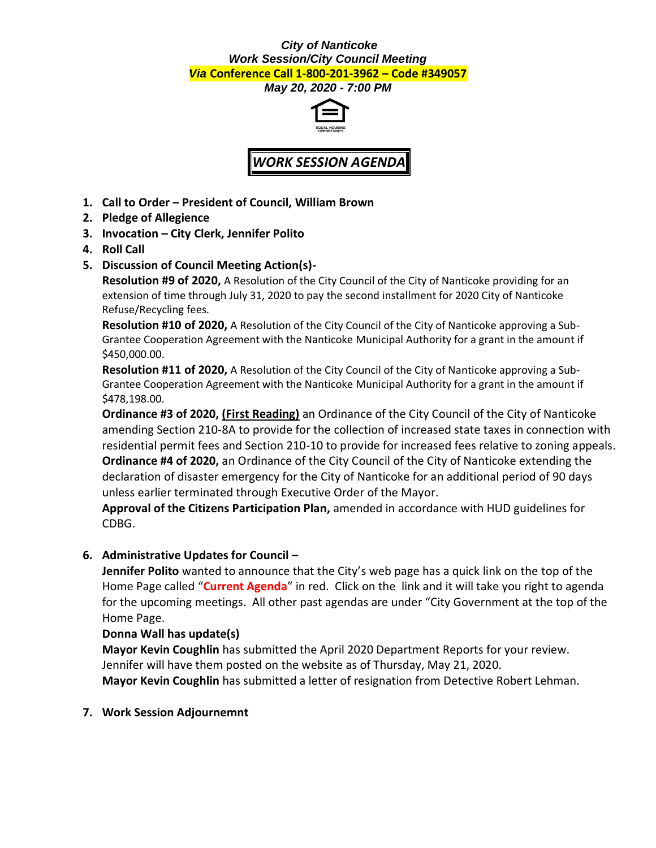#### *City of Nanticoke Work Session/City Council Meeting Via* **Conference Call 1-800-201-3962 – Code #349057**

*May 20, 2020 - 7:00 PM*



# *WORK SESSION AGENDA*

- **1. Call to Order – President of Council, William Brown**
- **2. Pledge of Allegience**
- **3. Invocation – City Clerk, Jennifer Polito**
- **4. Roll Call**
- **5. Discussion of Council Meeting Action(s)-**

**Resolution #9 of 2020,** A Resolution of the City Council of the City of Nanticoke providing for an extension of time through July 31, 2020 to pay the second installment for 2020 City of Nanticoke Refuse/Recycling fees.

**Resolution #10 of 2020,** A Resolution of the City Council of the City of Nanticoke approving a Sub-Grantee Cooperation Agreement with the Nanticoke Municipal Authority for a grant in the amount if \$450,000.00.

**Resolution #11 of 2020,** A Resolution of the City Council of the City of Nanticoke approving a Sub-Grantee Cooperation Agreement with the Nanticoke Municipal Authority for a grant in the amount if \$478,198.00.

**Ordinance #3 of 2020, (First Reading)** an Ordinance of the City Council of the City of Nanticoke amending Section 210-8A to provide for the collection of increased state taxes in connection with residential permit fees and Section 210-10 to provide for increased fees relative to zoning appeals. **Ordinance #4 of 2020,** an Ordinance of the City Council of the City of Nanticoke extending the declaration of disaster emergency for the City of Nanticoke for an additional period of 90 days unless earlier terminated through Executive Order of the Mayor.

**Approval of the Citizens Participation Plan,** amended in accordance with HUD guidelines for CDBG.

## **6. Administrative Updates for Council –**

**Jennifer Polito** wanted to announce that the City's web page has a quick link on the top of the Home Page called "**Current Agenda**" in red. Click on the link and it will take you right to agenda for the upcoming meetings. All other past agendas are under "City Government at the top of the Home Page.

### **Donna Wall has update(s)**

**Mayor Kevin Coughlin** has submitted the April 2020 Department Reports for your review. Jennifer will have them posted on the website as of Thursday, May 21, 2020. **Mayor Kevin Coughlin** has submitted a letter of resignation from Detective Robert Lehman.

**7. Work Session Adjournemnt**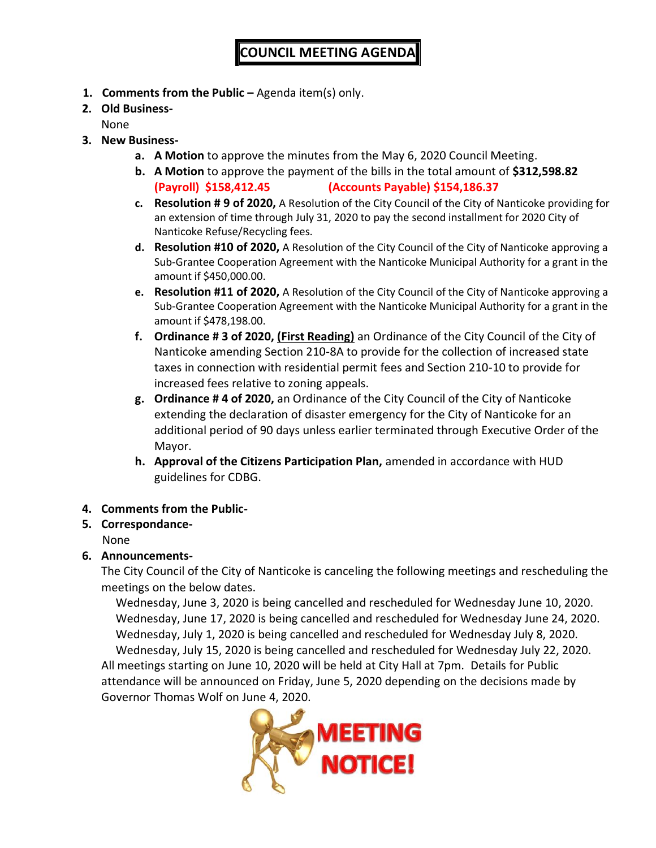- **1. Comments from the Public –** Agenda item(s) only.
- **2. Old Business-**

None

- **3. New Business**
	- **a. A Motion** to approve the minutes from the May 6, 2020 Council Meeting.
	- **b. A Motion** to approve the payment of the bills in the total amount of **\$312,598.82 (Payroll) \$158,412.45 (Accounts Payable) \$154,186.37**
	- **c. Resolution # 9 of 2020,** A Resolution of the City Council of the City of Nanticoke providing for an extension of time through July 31, 2020 to pay the second installment for 2020 City of Nanticoke Refuse/Recycling fees.
	- **d. Resolution #10 of 2020,** A Resolution of the City Council of the City of Nanticoke approving a Sub-Grantee Cooperation Agreement with the Nanticoke Municipal Authority for a grant in the amount if \$450,000.00.
	- **e. Resolution #11 of 2020,** A Resolution of the City Council of the City of Nanticoke approving a Sub-Grantee Cooperation Agreement with the Nanticoke Municipal Authority for a grant in the amount if \$478,198.00.
	- **f. Ordinance # 3 of 2020, (First Reading)** an Ordinance of the City Council of the City of Nanticoke amending Section 210-8A to provide for the collection of increased state taxes in connection with residential permit fees and Section 210-10 to provide for increased fees relative to zoning appeals.
	- **g. Ordinance # 4 of 2020,** an Ordinance of the City Council of the City of Nanticoke extending the declaration of disaster emergency for the City of Nanticoke for an additional period of 90 days unless earlier terminated through Executive Order of the Mayor.
	- **h. Approval of the Citizens Participation Plan,** amended in accordance with HUD guidelines for CDBG.
- **4. Comments from the Public-**

#### **5. Correspondance-**None

# **6. Announcements-**

The City Council of the City of Nanticoke is canceling the following meetings and rescheduling the meetings on the below dates.

Wednesday, June 3, 2020 is being cancelled and rescheduled for Wednesday June 10, 2020. Wednesday, June 17, 2020 is being cancelled and rescheduled for Wednesday June 24, 2020. Wednesday, July 1, 2020 is being cancelled and rescheduled for Wednesday July 8, 2020. Wednesday, July 15, 2020 is being cancelled and rescheduled for Wednesday July 22, 2020. All meetings starting on June 10, 2020 will be held at City Hall at 7pm. Details for Public attendance will be announced on Friday, June 5, 2020 depending on the decisions made by

Governor Thomas Wolf on June 4, 2020.